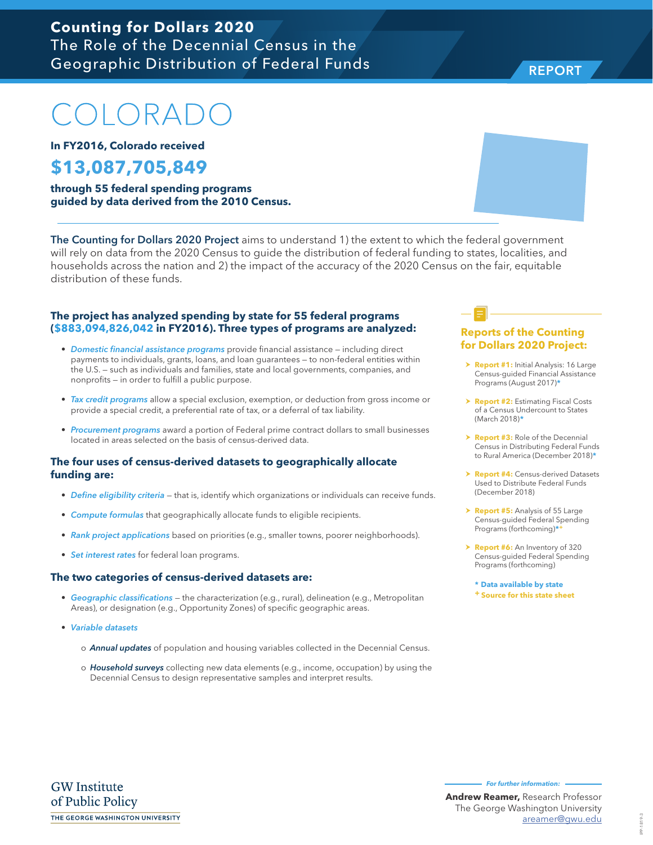# COLORADO

**In FY2016, Colorado received**

## **\$13,087,705,849**

**through 55 federal spending programs guided by data derived from the 2010 Census.**

The Counting for Dollars 2020 Project aims to understand 1) the extent to which the federal government will rely on data from the 2020 Census to guide the distribution of federal funding to states, localities, and households across the nation and 2) the impact of the accuracy of the 2020 Census on the fair, equitable distribution of these funds.

#### **The project has analyzed spending by state for 55 federal programs (\$883,094,826,042 in FY2016). Three types of programs are analyzed:**

- *Domestic financial assistance programs* provide financial assistance including direct payments to individuals, grants, loans, and loan guarantees — to non-federal entities within the U.S. — such as individuals and families, state and local governments, companies, and nonprofits — in order to fulfill a public purpose.
- *Tax credit programs* allow a special exclusion, exemption, or deduction from gross income or provide a special credit, a preferential rate of tax, or a deferral of tax liability.
- *Procurement programs* award a portion of Federal prime contract dollars to small businesses located in areas selected on the basis of census-derived data.

#### **The four uses of census-derived datasets to geographically allocate funding are:**

- *Define eligibility criteria* that is, identify which organizations or individuals can receive funds.
- *Compute formulas* that geographically allocate funds to eligible recipients.
- *Rank project applications* based on priorities (e.g., smaller towns, poorer neighborhoods).
- *Set interest rates* for federal loan programs.

#### **The two categories of census-derived datasets are:**

- *Geographic classifications* the characterization (e.g., rural), delineation (e.g., Metropolitan Areas), or designation (e.g., Opportunity Zones) of specific geographic areas.
- *Variable datasets* 
	- o *Annual updates* of population and housing variables collected in the Decennial Census.
	- o *Household surveys* collecting new data elements (e.g., income, occupation) by using the Decennial Census to design representative samples and interpret results.

#### **Reports of the Counting for Dollars 2020 Project:**

- **> Report #1:** Initial Analysis: 16 Large Census-guided Financial Assistance Programs (August 2017)**\***
- **h Report #2: Estimating Fiscal Costs** of a Census Undercount to States (March 2018)**\***
- **Report #3:** Role of the Decennial Census in Distributing Federal Funds to Rural America (December 2018)**\***
- **Report #4: Census-derived Datasets** Used to Distribute Federal Funds (December 2018)
- > **Report #5:** Analysis of 55 Large Census-guided Federal Spending Programs (forthcoming)**\*+**
- > **Report #6:** An Inventory of 320 Census-guided Federal Spending Programs (forthcoming)

**\* Data available by state + Source for this state sheet**



REPORT

IPP-1819-3 IPP-1819-3

**Andrew Reamer,** Research Professor The George Washington University

areamer@gwu.edu